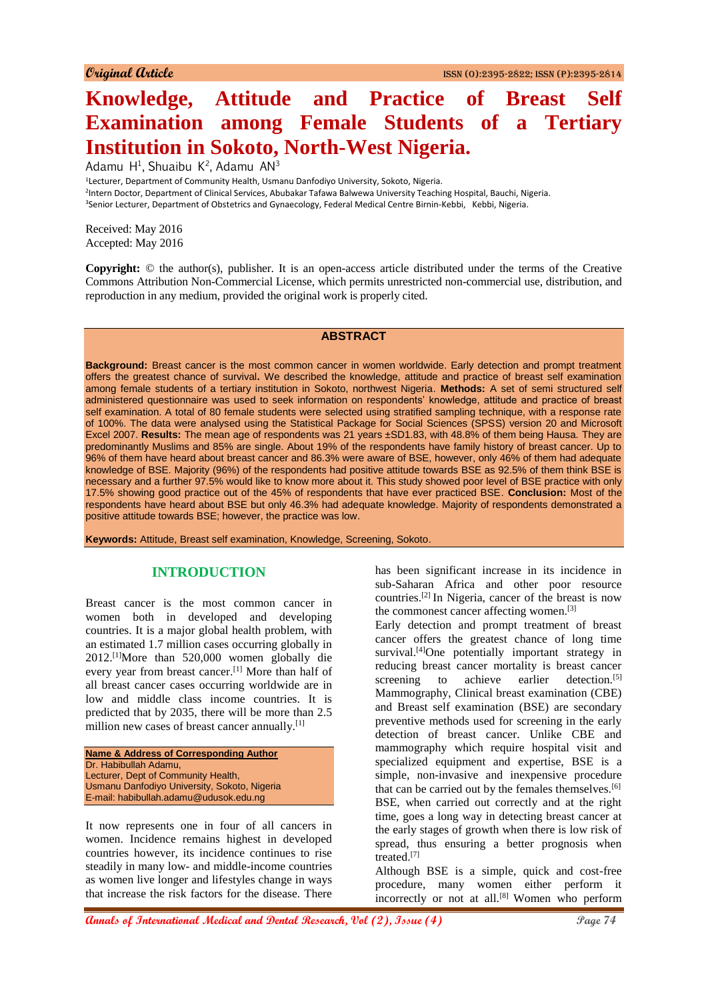# **Knowledge, Attitude and Practice of Breast Self Examination among Female Students of a Tertiary Institution in Sokoto, North-West Nigeria.**

Adamu H<sup>1</sup>, Shuaibu K<sup>2</sup>, Adamu AN<sup>3</sup>

<sup>1</sup>Lecturer, Department of Community Health, Usmanu Danfodiyo University, Sokoto, Nigeria.

2 Intern Doctor, Department of Clinical Services, Abubakar Tafawa Balwewa University Teaching Hospital, Bauchi, Nigeria.

<sup>3</sup>Senior Lecturer, Department of Obstetrics and Gynaecology, Federal Medical Centre Birnin-Kebbi, Kebbi, Nigeria.

Received: May 2016 Accepted: May 2016

**Copyright:** © the author(s), publisher. It is an open-access article distributed under the terms of the Creative Commons Attribution Non-Commercial License, which permits unrestricted non-commercial use, distribution, and reproduction in any medium, provided the original work is properly cited.

#### **ABSTRACT**

**Background:** Breast cancer is the most common cancer in women worldwide. Early detection and prompt treatment offers the greatest chance of survival**.** We described the knowledge, attitude and practice of breast self examination among female students of a tertiary institution in Sokoto, northwest Nigeria. **Methods:** A set of semi structured self administered questionnaire was used to seek information on respondents' knowledge, attitude and practice of breast self examination. A total of 80 female students were selected using stratified sampling technique, with a response rate of 100%. The data were analysed using the Statistical Package for Social Sciences (SPSS) version 20 and Microsoft Excel 2007. **Results:** The mean age of respondents was 21 years ±SD1.83, with 48.8% of them being Hausa. They are predominantly Muslims and 85% are single. About 19% of the respondents have family history of breast cancer. Up to 96% of them have heard about breast cancer and 86.3% were aware of BSE, however, only 46% of them had adequate knowledge of BSE. Majority (96%) of the respondents had positive attitude towards BSE as 92.5% of them think BSE is necessary and a further 97.5% would like to know more about it. This study showed poor level of BSE practice with only 17.5% showing good practice out of the 45% of respondents that have ever practiced BSE. **Conclusion:** Most of the respondents have heard about BSE but only 46.3% had adequate knowledge. Majority of respondents demonstrated a positive attitude towards BSE; however, the practice was low.

**Keywords:** Attitude, Breast self examination, Knowledge, Screening, Sokoto.

#### **INTRODUCTION**

Breast cancer is the most common cancer in women both in developed and developing countries. It is a major global health problem, with an estimated 1.7 million cases occurring globally in 2012.[1]More than 520,000 women globally die every year from breast cancer.[1] More than half of all breast cancer cases occurring worldwide are in low and middle class income countries. It is predicted that by 2035, there will be more than 2.5 million new cases of breast cancer annually.<sup>[1]</sup>

**Name & Address of Corresponding Author** Dr. Habibullah Adamu, Lecturer, Dept of Community Health, Usmanu Danfodiyo University, Sokoto, Nigeria E-mail: habibullah.adamu@udusok.edu.ng

It now represents one in four of all cancers in women. Incidence remains highest in developed countries however, its incidence continues to rise steadily in many low- and middle-income countries as women live longer and lifestyles change in ways that increase the risk factors for the disease. There

has been significant increase in its incidence in sub-Saharan Africa and other poor resource countries.[2] In Nigeria, cancer of the breast is now the commonest cancer affecting women.<sup>[3]</sup>

Early detection and prompt treatment of breast cancer offers the greatest chance of long time survival.<sup>[4]</sup>One potentially important strategy in reducing breast cancer mortality is breast cancer screening to achieve earlier detection.<sup>[5]</sup> Mammography, Clinical breast examination (CBE) and Breast self examination (BSE) are secondary preventive methods used for screening in the early detection of breast cancer. Unlike CBE and mammography which require hospital visit and specialized equipment and expertise, BSE is a simple, non-invasive and inexpensive procedure that can be carried out by the females themselves.<sup>[6]</sup> BSE, when carried out correctly and at the right time, goes a long way in detecting breast cancer at the early stages of growth when there is low risk of spread, thus ensuring a better prognosis when treated.[7]

Although BSE is a simple, quick and cost-free procedure, many women either perform it incorrectly or not at all.<sup>[8]</sup> Women who perform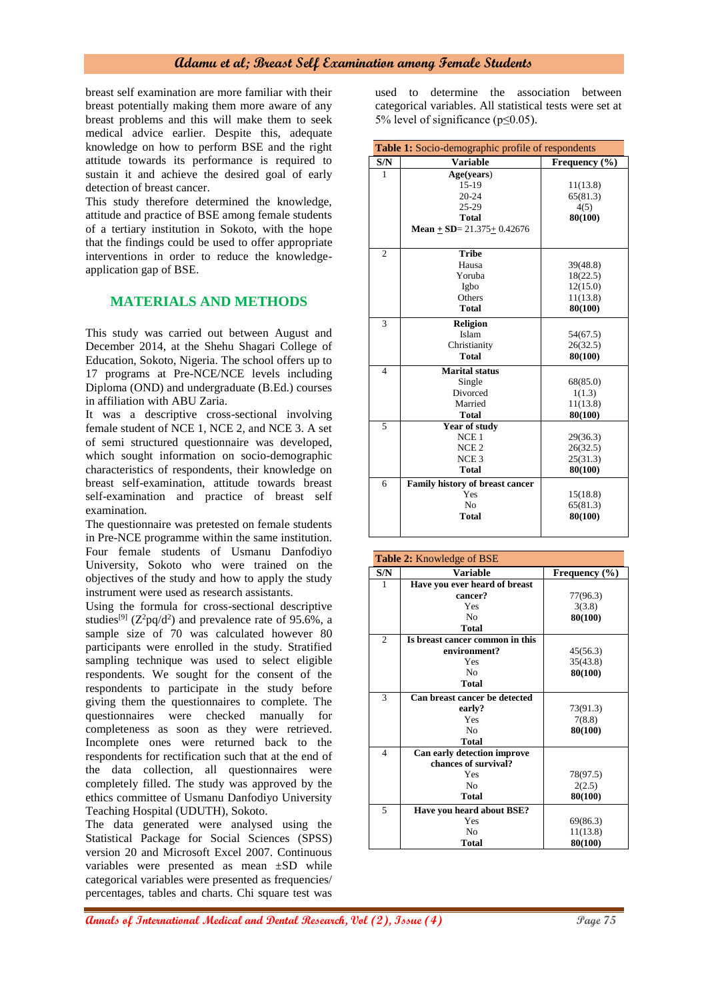breast self examination are more familiar with their breast potentially making them more aware of any breast problems and this will make them to seek medical advice earlier. Despite this, adequate knowledge on how to perform BSE and the right attitude towards its performance is required to sustain it and achieve the desired goal of early detection of breast cancer.

This study therefore determined the knowledge, attitude and practice of BSE among female students of a tertiary institution in Sokoto, with the hope that the findings could be used to offer appropriate interventions in order to reduce the knowledgeapplication gap of BSE.

# **MATERIALS AND METHODS**

This study was carried out between August and December 2014, at the Shehu Shagari College of Education, Sokoto, Nigeria. The school offers up to 17 programs at Pre-NCE/NCE levels including Diploma (OND) and undergraduate (B.Ed.) courses in affiliation with ABU Zaria.

It was a descriptive cross-sectional involving female student of NCE 1, NCE 2, and NCE 3. A set of semi structured questionnaire was developed, which sought information on socio-demographic characteristics of respondents, their knowledge on breast self-examination, attitude towards breast self-examination and practice of breast self examination.

The questionnaire was pretested on female students in Pre-NCE programme within the same institution. Four female students of Usmanu Danfodiyo University, Sokoto who were trained on the objectives of the study and how to apply the study instrument were used as research assistants.

Using the formula for cross-sectional descriptive studies<sup>[9]</sup> ( $Z^2$ pq/d<sup>2</sup>) and prevalence rate of 95.6%, a sample size of 70 was calculated however 80 participants were enrolled in the study. Stratified sampling technique was used to select eligible respondents. We sought for the consent of the respondents to participate in the study before giving them the questionnaires to complete. The questionnaires were checked manually for completeness as soon as they were retrieved. Incomplete ones were returned back to the respondents for rectification such that at the end of the data collection, all questionnaires were completely filled. The study was approved by the ethics committee of Usmanu Danfodiyo University Teaching Hospital (UDUTH), Sokoto.

The data generated were analysed using the Statistical Package for Social Sciences (SPSS) version 20 and Microsoft Excel 2007. Continuous variables were presented as mean ±SD while categorical variables were presented as frequencies/ percentages, tables and charts. Chi square test was used to determine the association between categorical variables. All statistical tests were set at 5% level of significance (p≤0.05).

| Table 1: Socio-demographic profile of respondents |                                     |               |
|---------------------------------------------------|-------------------------------------|---------------|
| S/N                                               | <b>Variable</b>                     | Frequency (%) |
| 1                                                 | Age(years)                          |               |
|                                                   | 15-19                               | 11(13.8)      |
|                                                   | $20 - 24$                           | 65(81.3)      |
|                                                   | $25-29$                             | 4(5)          |
|                                                   | <b>Total</b>                        | 80(100)       |
|                                                   | Mean $\pm$ SD= 21.375 $\pm$ 0.42676 |               |
|                                                   |                                     |               |
| $\overline{c}$                                    | <b>Tribe</b>                        |               |
|                                                   | Hausa                               | 39(48.8)      |
|                                                   | Yoruba                              | 18(22.5)      |
|                                                   | Igbo                                | 12(15.0)      |
|                                                   | Others                              | 11(13.8)      |
|                                                   | <b>Total</b>                        | 80(100)       |
| 3                                                 | <b>Religion</b>                     |               |
|                                                   | Islam                               | 54(67.5)      |
|                                                   | Christianity                        | 26(32.5)      |
|                                                   | <b>Total</b>                        | 80(100)       |
| $\overline{4}$                                    | <b>Marital status</b>               |               |
|                                                   | Single                              | 68(85.0)      |
|                                                   | Divorced                            | 1(1.3)        |
|                                                   | Married                             | 11(13.8)      |
|                                                   | <b>Total</b>                        | 80(100)       |
| 5                                                 | <b>Year of study</b>                |               |
|                                                   | NCE <sub>1</sub>                    | 29(36.3)      |
|                                                   | NCE <sub>2</sub>                    | 26(32.5)      |
|                                                   | NCE <sub>3</sub>                    | 25(31.3)      |
|                                                   | Total                               | 80(100)       |
| 6                                                 | Family history of breast cancer     |               |
|                                                   | Yes                                 | 15(18.8)      |
|                                                   | No                                  | 65(81.3)      |
|                                                   | <b>Total</b>                        | 80(100)       |
|                                                   |                                     |               |

| <b>Table 2:</b> Knowledge of BSE |                                 |                   |
|----------------------------------|---------------------------------|-------------------|
| S/N                              | <b>Variable</b>                 | Frequency $(\% )$ |
| 1                                | Have you ever heard of breast   |                   |
|                                  | cancer?                         | 77(96.3)          |
|                                  | Yes                             | 3(3.8)            |
|                                  | No                              | 80(100)           |
|                                  | <b>Total</b>                    |                   |
| $\overline{2}$                   | Is breast cancer common in this |                   |
|                                  | environment?                    | 45(56.3)          |
|                                  | Yes                             | 35(43.8)          |
|                                  | No                              | 80(100)           |
|                                  | <b>Total</b>                    |                   |
| 3                                | Can breast cancer be detected   |                   |
|                                  | early?                          | 73(91.3)          |
|                                  | Yes                             | 7(8.8)            |
|                                  | No                              | 80(100)           |
|                                  | <b>Total</b>                    |                   |
| $\overline{4}$                   | Can early detection improve     |                   |
|                                  | chances of survival?            |                   |
|                                  | Yes                             | 78(97.5)          |
|                                  | No                              | 2(2.5)            |
|                                  | Total                           | 80(100)           |
| 5                                | Have you heard about BSE?       |                   |
|                                  | Yes                             | 69(86.3)          |
|                                  | No                              | 11(13.8)          |
|                                  | <b>Total</b>                    | 80(100)           |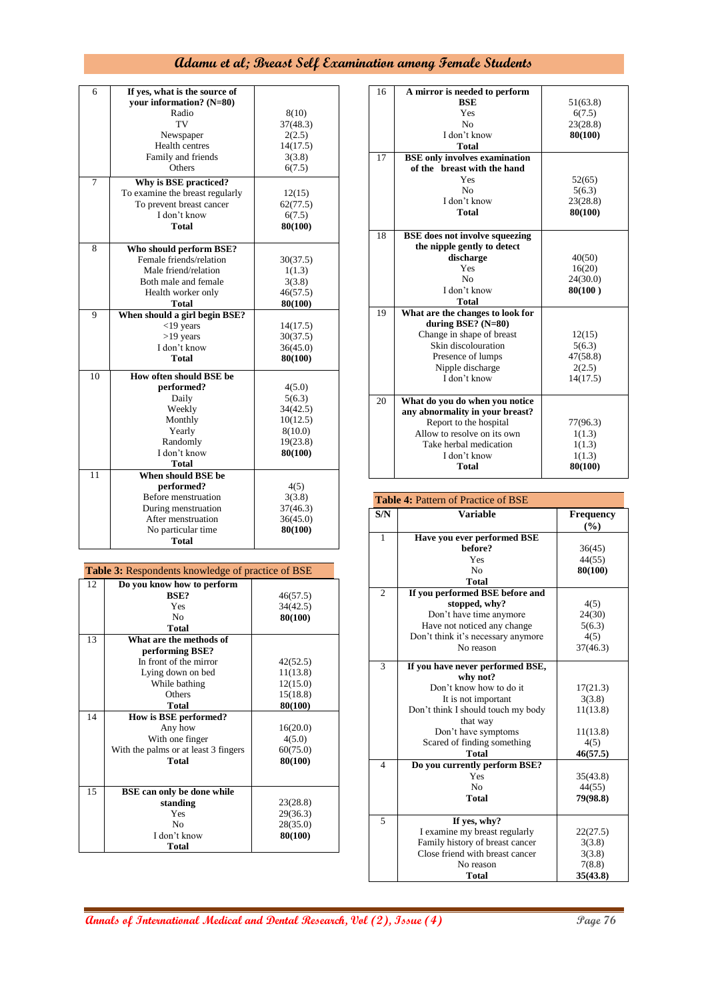| 6               | If yes, what is the source of   |                   |
|-----------------|---------------------------------|-------------------|
|                 | your information? (N=80)        |                   |
|                 | Radio                           |                   |
|                 | TV                              | 8(10)<br>37(48.3) |
|                 |                                 |                   |
|                 | Newspaper                       | 2(2.5)            |
|                 | <b>Health centres</b>           | 14(17.5)          |
|                 | Family and friends              | 3(3.8)            |
|                 | Others                          | 6(7.5)            |
| 7               | Why is BSE practiced?           |                   |
|                 | To examine the breast regularly | 12(15)            |
|                 | To prevent breast cancer        | 62(77.5)          |
|                 | I don't know                    | 6(7.5)            |
|                 | <b>Total</b>                    | 80(100)           |
|                 |                                 |                   |
| 8               | Who should perform BSE?         |                   |
|                 | Female friends/relation         | 30(37.5)          |
|                 | Male friend/relation            | 1(1.3)            |
|                 | Both male and female            | 3(3.8)            |
|                 | Health worker only              | 46(57.5)          |
|                 | <b>Total</b>                    | 80(100)           |
| 9               | When should a girl begin BSE?   |                   |
|                 | $<$ 19 years                    | 14(17.5)          |
|                 | $>19$ years                     | 30(37.5)          |
|                 | I don't know                    | 36(45.0)          |
|                 | Total                           | 80(100)           |
| 10              | How often should BSE be         |                   |
|                 | performed?                      | 4(5.0)            |
|                 | Daily                           | 5(6.3)            |
|                 | Weekly                          | 34(42.5)          |
|                 | Monthly                         | 10(12.5)          |
|                 | Yearly                          | 8(10.0)           |
|                 | Randomly                        | 19(23.8)          |
|                 | I don't know                    | 80(100)           |
|                 | <b>Total</b>                    |                   |
| $\overline{11}$ | When should BSE be              |                   |
|                 | performed?                      | 4(5)              |
|                 | Before menstruation             | 3(3.8)            |
|                 | During menstruation             | 37(46.3)          |
|                 | After menstruation              | 36(45.0)          |
|                 | No particular time              | 80(100)           |
|                 | Total                           |                   |

| <b>Table 3:</b> Respondents knowledge of practice of BSE |                                      |          |
|----------------------------------------------------------|--------------------------------------|----------|
| 12                                                       | Do you know how to perform           |          |
|                                                          | BSE?                                 | 46(57.5) |
|                                                          | Yes                                  | 34(42.5) |
|                                                          | N <sub>0</sub>                       | 80(100)  |
|                                                          | <b>Total</b>                         |          |
| 13                                                       | What are the methods of              |          |
|                                                          | performing BSE?                      |          |
|                                                          | In front of the mirror               | 42(52.5) |
|                                                          | Lying down on bed                    | 11(13.8) |
|                                                          | While bathing                        | 12(15.0) |
|                                                          | Others                               | 15(18.8) |
|                                                          | <b>Total</b>                         | 80(100)  |
| 14                                                       | How is BSE performed?                |          |
|                                                          | Any how                              | 16(20.0) |
|                                                          | With one finger                      | 4(5.0)   |
|                                                          | With the palms or at least 3 fingers | 60(75.0) |
|                                                          | Total                                | 80(100)  |
|                                                          |                                      |          |
| 15                                                       | <b>BSE</b> can only be done while    |          |
|                                                          | standing                             | 23(28.8) |
|                                                          | Yes                                  | 29(36.3) |
|                                                          | No                                   | 28(35.0) |
|                                                          | I don't know                         | 80(100)  |
|                                                          | <b>Total</b>                         |          |

| 16 |                                       |          |
|----|---------------------------------------|----------|
|    | A mirror is needed to perform         |          |
|    | <b>BSE</b>                            | 51(63.8) |
|    | Yes                                   | 6(7.5)   |
|    | No                                    | 23(28.8) |
|    | I don't know                          | 80(100)  |
|    | <b>Total</b>                          |          |
| 17 | <b>BSE</b> only involves examination  |          |
|    | of the breast with the hand           |          |
|    | Yes                                   | 52(65)   |
|    | No                                    | 5(6.3)   |
|    | I don't know                          | 23(28.8) |
|    | Total                                 | 80(100)  |
|    |                                       |          |
| 18 | <b>BSE</b> does not involve squeezing |          |
|    | the nipple gently to detect           |          |
|    | discharge                             | 40(50)   |
|    | Yes                                   | 16(20)   |
|    | No                                    | 24(30.0) |
|    | I don't know                          | 80(100)  |
|    | <b>Total</b>                          |          |
| 19 | What are the changes to look for      |          |
|    | during BSE? $(N=80)$                  |          |
|    | Change in shape of breast             | 12(15)   |
|    | Skin discolouration                   | 5(6.3)   |
|    | Presence of lumps                     | 47(58.8) |
|    | Nipple discharge                      | 2(2.5)   |
|    | I don't know                          | 14(17.5) |
|    |                                       |          |
| 20 | What do you do when you notice        |          |
|    | any abnormality in your breast?       |          |
|    | Report to the hospital                | 77(96.3) |
|    | Allow to resolve on its own           | 1(1.3)   |
|    | Take herbal medication                | 1(1.3)   |
|    | I don't know                          | 1(1.3)   |
|    | Total                                 |          |
|    |                                       | 80(100)  |

| Table 4: Pattern of Practice of BSE |                                    |                  |
|-------------------------------------|------------------------------------|------------------|
| S/N                                 | <b>Variable</b>                    | <b>Frequency</b> |
|                                     |                                    | (%)              |
| 1                                   | Have you ever performed BSE        |                  |
|                                     | before?                            | 36(45)           |
|                                     | Yes                                | 44(55)           |
|                                     | N <sub>0</sub>                     | 80(100)          |
|                                     | <b>Total</b>                       |                  |
| $\overline{c}$                      | If you performed BSE before and    |                  |
|                                     | stopped, why?                      | 4(5)             |
|                                     | Don't have time anymore            | 24(30)           |
|                                     | Have not noticed any change        | 5(6.3)           |
|                                     | Don't think it's necessary anymore | 4(5)             |
|                                     | No reason                          | 37(46.3)         |
| 3                                   | If you have never performed BSE,   |                  |
|                                     | why not?                           |                  |
|                                     | Don't know how to do it            | 17(21.3)         |
|                                     | It is not important                | 3(3.8)           |
|                                     | Don't think I should touch my body | 11(13.8)         |
|                                     | that way                           |                  |
|                                     | Don't have symptoms                | 11(13.8)         |
|                                     | Scared of finding something        | 4(5)             |
|                                     | <b>Total</b>                       | 46(57.5)         |
| $\overline{4}$                      | Do you currently perform BSE?      |                  |
|                                     | Yes                                | 35(43.8)         |
|                                     | N <sub>0</sub>                     | 44(55)           |
|                                     | <b>Total</b>                       | 79(98.8)         |
|                                     |                                    |                  |
| 5                                   | If yes, why?                       |                  |
|                                     | I examine my breast regularly      | 22(27.5)         |
|                                     | Family history of breast cancer    | 3(3.8)           |
|                                     | Close friend with breast cancer    | 3(3.8)           |
|                                     | No reason                          | 7(8.8)           |
|                                     | <b>Total</b>                       | 35(43.8)         |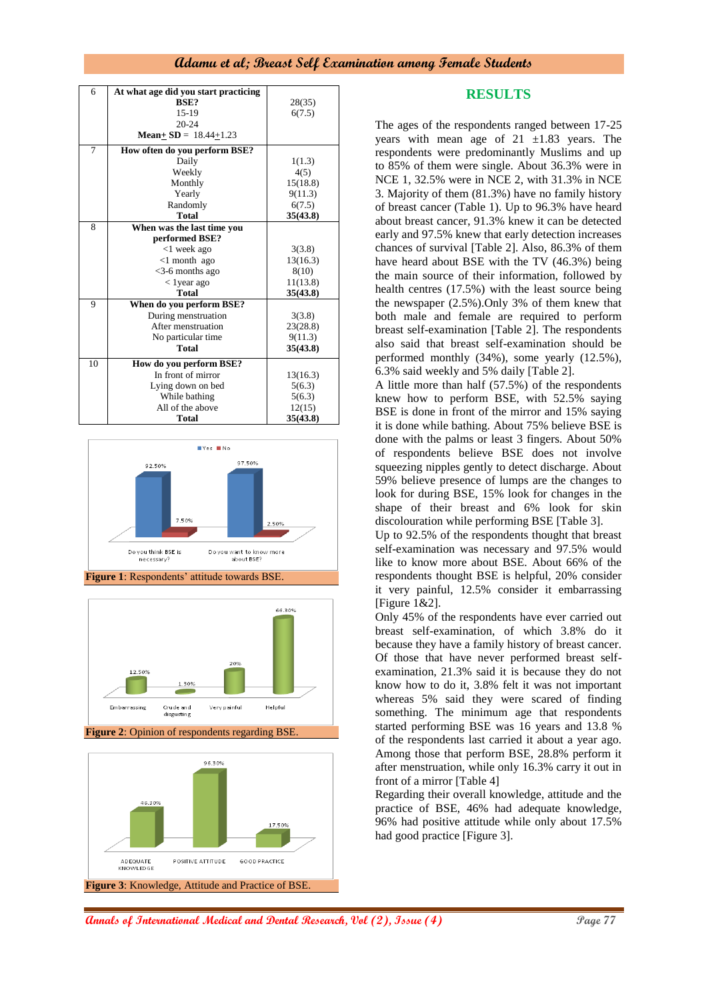| 6  | At what age did you start practicing |          |
|----|--------------------------------------|----------|
|    | BSE?                                 | 28(35)   |
|    | 15-19                                | 6(7.5)   |
|    | $20 - 24$                            |          |
|    | <b>Mean+SD</b> = $18.44+1.23$        |          |
| 7  | How often do you perform BSE?        |          |
|    | Daily                                | 1(1.3)   |
|    | Weekly                               | 4(5)     |
|    | Monthly                              | 15(18.8) |
|    | Yearly                               | 9(11.3)  |
|    | Randomly                             | 6(7.5)   |
|    | <b>Total</b>                         | 35(43.8) |
| 8  | When was the last time you           |          |
|    | performed BSE?                       |          |
|    | $<$ 1 week ago                       | 3(3.8)   |
|    | $<$ 1 month ago                      | 13(16.3) |
|    | $<$ 3-6 months ago                   | 8(10)    |
|    | $<$ 1 year ago                       | 11(13.8) |
|    | <b>Total</b>                         | 35(43.8) |
| 9  | When do you perform BSE?             |          |
|    | During menstruation                  | 3(3.8)   |
|    | After menstruation                   | 23(28.8) |
|    | No particular time                   | 9(11.3)  |
|    | <b>Total</b>                         | 35(43.8) |
| 10 | How do you perform BSE?              |          |
|    | In front of mirror                   | 13(16.3) |
|    | Lying down on bed                    | 5(6.3)   |
|    | While bathing                        | 5(6.3)   |
|    | All of the above                     | 12(15)   |
|    | <b>Total</b>                         | 35(43.8) |



**Figure 1**: Respondents' attitude towards BSE.



**Figure 2**: Opinion of respondents regarding BSE.



# **RESULTS**

The ages of the respondents ranged between 17-25 years with mean age of  $21 \pm 1.83$  years. The respondents were predominantly Muslims and up to 85% of them were single. About 36.3% were in NCE 1, 32.5% were in NCE 2, with 31.3% in NCE 3. Majority of them (81.3%) have no family history of breast cancer (Table 1). Up to 96.3% have heard about breast cancer, 91.3% knew it can be detected early and 97.5% knew that early detection increases chances of survival [Table 2]. Also, 86.3% of them have heard about BSE with the TV (46.3%) being the main source of their information, followed by health centres (17.5%) with the least source being the newspaper (2.5%).Only 3% of them knew that both male and female are required to perform breast self-examination [Table 2]. The respondents also said that breast self-examination should be performed monthly (34%), some yearly (12.5%), 6.3% said weekly and 5% daily [Table 2].

A little more than half (57.5%) of the respondents knew how to perform BSE, with 52.5% saying BSE is done in front of the mirror and 15% saying it is done while bathing. About 75% believe BSE is done with the palms or least 3 fingers. About 50% of respondents believe BSE does not involve squeezing nipples gently to detect discharge. About 59% believe presence of lumps are the changes to look for during BSE, 15% look for changes in the shape of their breast and 6% look for skin discolouration while performing BSE [Table 3].

Up to 92.5% of the respondents thought that breast self-examination was necessary and 97.5% would like to know more about BSE. About 66% of the respondents thought BSE is helpful, 20% consider it very painful, 12.5% consider it embarrassing [Figure 1&2].

Only 45% of the respondents have ever carried out breast self-examination, of which 3.8% do it because they have a family history of breast cancer. Of those that have never performed breast selfexamination, 21.3% said it is because they do not know how to do it, 3.8% felt it was not important whereas 5% said they were scared of finding something. The minimum age that respondents started performing BSE was 16 years and 13.8 % of the respondents last carried it about a year ago. Among those that perform BSE, 28.8% perform it after menstruation, while only 16.3% carry it out in front of a mirror [Table 4]

Regarding their overall knowledge, attitude and the practice of BSE, 46% had adequate knowledge, 96% had positive attitude while only about 17.5% had good practice [Figure 3].

**Annals of International Medical and Dental Research, Vol (2), Issue (4) Page 77**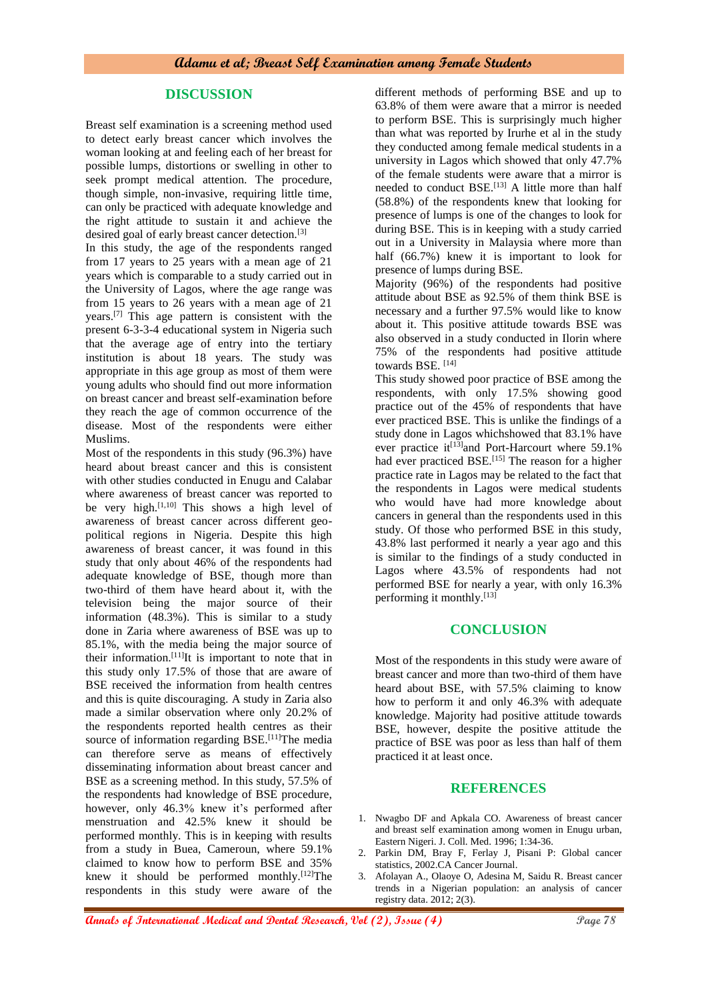# **DISCUSSION**

Breast self examination is a screening method used to detect early breast cancer which involves the woman looking at and feeling each of her breast for possible lumps, distortions or swelling in other to seek prompt medical attention. The procedure, though simple, non-invasive, requiring little time, can only be practiced with adequate knowledge and the right attitude to sustain it and achieve the desired goal of early breast cancer detection.[3]

In this study, the age of the respondents ranged from 17 years to 25 years with a mean age of 21 years which is comparable to a study carried out in the University of Lagos, where the age range was from 15 years to 26 years with a mean age of 21 years.[7] This age pattern is consistent with the present 6-3-3-4 educational system in Nigeria such that the average age of entry into the tertiary institution is about 18 years. The study was appropriate in this age group as most of them were young adults who should find out more information on breast cancer and breast self-examination before they reach the age of common occurrence of the disease. Most of the respondents were either Muslims.

Most of the respondents in this study (96.3%) have heard about breast cancer and this is consistent with other studies conducted in Enugu and Calabar where awareness of breast cancer was reported to be very high.<sup>[1,10]</sup> This shows a high level of awareness of breast cancer across different geopolitical regions in Nigeria. Despite this high awareness of breast cancer, it was found in this study that only about 46% of the respondents had adequate knowledge of BSE, though more than two-third of them have heard about it, with the television being the major source of their information (48.3%). This is similar to a study done in Zaria where awareness of BSE was up to 85.1%, with the media being the major source of their information.[11]It is important to note that in this study only 17.5% of those that are aware of BSE received the information from health centres and this is quite discouraging. A study in Zaria also made a similar observation where only 20.2% of the respondents reported health centres as their source of information regarding  $BSE$ .<sup>[11]</sup>The media can therefore serve as means of effectively disseminating information about breast cancer and BSE as a screening method. In this study, 57.5% of the respondents had knowledge of BSE procedure, however, only 46.3% knew it's performed after menstruation and 42.5% knew it should be performed monthly. This is in keeping with results from a study in Buea, Cameroun, where 59.1% claimed to know how to perform BSE and 35% knew it should be performed monthly. $[12]$ The respondents in this study were aware of the

different methods of performing BSE and up to 63.8% of them were aware that a mirror is needed to perform BSE. This is surprisingly much higher than what was reported by Irurhe et al in the study they conducted among female medical students in a university in Lagos which showed that only 47.7% of the female students were aware that a mirror is needed to conduct BSE.<sup>[13]</sup> A little more than half (58.8%) of the respondents knew that looking for presence of lumps is one of the changes to look for during BSE. This is in keeping with a study carried out in a University in Malaysia where more than half (66.7%) knew it is important to look for presence of lumps during BSE.

Majority (96%) of the respondents had positive attitude about BSE as 92.5% of them think BSE is necessary and a further 97.5% would like to know about it. This positive attitude towards BSE was also observed in a study conducted in Ilorin where 75% of the respondents had positive attitude towards BSE. <br/>  $^{\left[14\right]}$ 

This study showed poor practice of BSE among the respondents, with only 17.5% showing good practice out of the 45% of respondents that have ever practiced BSE. This is unlike the findings of a study done in Lagos whichshowed that 83.1% have ever practice it<sup>[13]</sup>and Port-Harcourt where 59.1% had ever practiced BSE.<sup>[15]</sup> The reason for a higher practice rate in Lagos may be related to the fact that the respondents in Lagos were medical students who would have had more knowledge about cancers in general than the respondents used in this study. Of those who performed BSE in this study, 43.8% last performed it nearly a year ago and this is similar to the findings of a study conducted in Lagos where 43.5% of respondents had not performed BSE for nearly a year, with only 16.3% performing it monthly.<sup>[13]</sup>

#### **CONCLUSION**

Most of the respondents in this study were aware of breast cancer and more than two-third of them have heard about BSE, with 57.5% claiming to know how to perform it and only 46.3% with adequate knowledge. Majority had positive attitude towards BSE, however, despite the positive attitude the practice of BSE was poor as less than half of them practiced it at least once.

# **REFERENCES**

- 1. Nwagbo DF and Apkala CO. Awareness of breast cancer and breast self examination among women in Enugu urban, Eastern Nigeri. J. Coll. Med. 1996; 1:34-36.
- 2. Parkin DM, Bray F, Ferlay J, Pisani P: Global cancer statistics, 2002.CA Cancer Journal.
- 3. Afolayan A., Olaoye O, Adesina M, Saidu R. Breast cancer trends in a Nigerian population: an analysis of cancer registry data. 2012; 2(3).